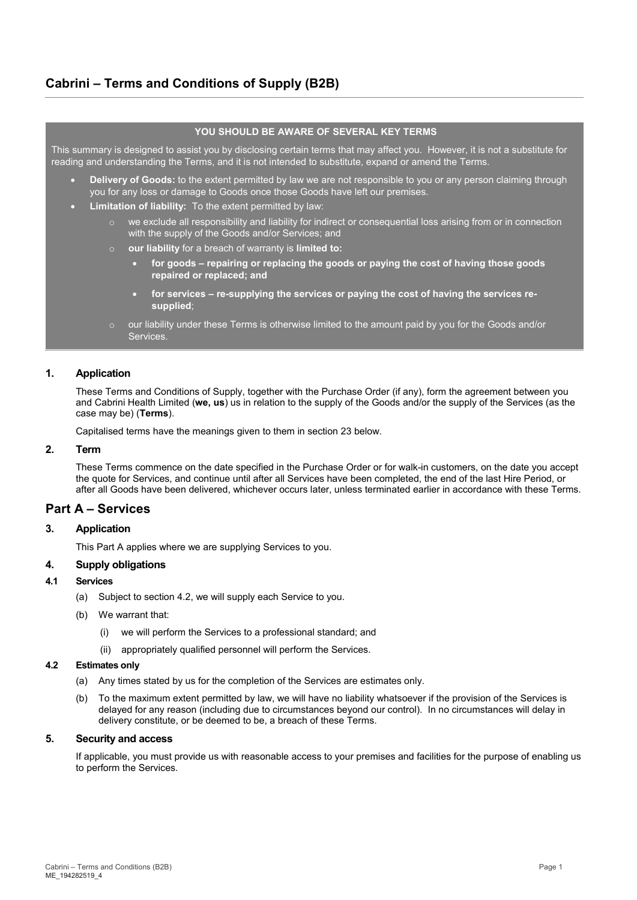# **Cabrini – Terms and Conditions of Supply (B2B)**

# **YOU SHOULD BE AWARE OF SEVERAL KEY TERMS**

This summary is designed to assist you by disclosing certain terms that may affect you. However, it is not a substitute for reading and understanding the Terms, and it is not intended to substitute, expand or amend the Terms.

- **Delivery of Goods:** to the extent permitted by law we are not responsible to you or any person claiming through you for any loss or damage to Goods once those Goods have left our premises.
- **Limitation of liability:** To the extent permitted by law:
	- $\circ$  we exclude all responsibility and liability for indirect or consequential loss arising from or in connection with the supply of the Goods and/or Services; and
	- o **our liability** for a breach of warranty is **limited to:**
		- **for goods repairing or replacing the goods or paying the cost of having those goods repaired or replaced; and**
		- **for services re-supplying the services or paying the cost of having the services resupplied**;
	- $\circ$  our liability under these Terms is otherwise limited to the amount paid by you for the Goods and/or Services.

# **1. Application**

These Terms and Conditions of Supply, together with the Purchase Order (if any), form the agreement between you and Cabrini Health Limited (**we, us**) us in relation to the supply of the Goods and/or the supply of the Services (as the case may be) (**Terms**).

Capitalised terms have the meanings given to them in sectio[n 23](#page-5-0) below.

# **2. Term**

These Terms commence on the date specified in the Purchase Order or for walk-in customers, on the date you accept the quote for Services, and continue until after all Services have been completed, the end of the last Hire Period, or after all Goods have been delivered, whichever occurs later, unless terminated earlier in accordance with these Terms.

# **Part A – Services**

# **3. Application**

This Part A applies where we are supplying Services to you.

#### **4. Supply obligations**

# **4.1 Services**

- (a) Subject to section [4.2,](#page-0-0) we will supply each Service to you.
- <span id="page-0-1"></span>(b) We warrant that:
	- (i) we will perform the Services to a professional standard; and
	- (ii) appropriately qualified personnel will perform the Services.

#### <span id="page-0-0"></span>**4.2 Estimates only**

- (a) Any times stated by us for the completion of the Services are estimates only.
- To the maximum extent permitted by law, we will have no liability whatsoever if the provision of the Services is delayed for any reason (including due to circumstances beyond our control). In no circumstances will delay in delivery constitute, or be deemed to be, a breach of these Terms.

# **5. Security and access**

If applicable, you must provide us with reasonable access to your premises and facilities for the purpose of enabling us to perform the Services.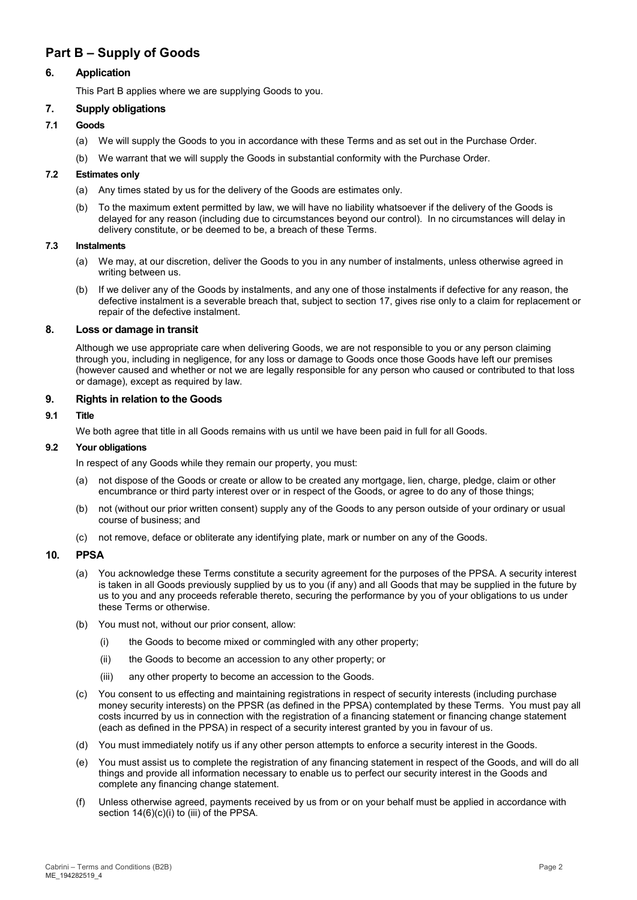# **Part B – Supply of Goods**

# **6. Application**

This Part B applies where we are supplying Goods to you.

# **7. Supply obligations**

# **7.1 Goods**

- (a) We will supply the Goods to you in accordance with these Terms and as set out in the Purchase Order.
- (b) We warrant that we will supply the Goods in substantial conformity with the Purchase Order.

## <span id="page-1-0"></span>**7.2 Estimates only**

- (a) Any times stated by us for the delivery of the Goods are estimates only.
- (b) To the maximum extent permitted by law, we will have no liability whatsoever if the delivery of the Goods is delayed for any reason (including due to circumstances beyond our control). In no circumstances will delay in delivery constitute, or be deemed to be, a breach of these Terms.

#### **7.3 Instalments**

- (a) We may, at our discretion, deliver the Goods to you in any number of instalments, unless otherwise agreed in writing between us.
- (b) If we deliver any of the Goods by instalments, and any one of those instalments if defective for any reason, the defective instalment is a severable breach that, subject to section [17,](#page-3-0) gives rise only to a claim for replacement or repair of the defective instalment.

## **8. Loss or damage in transit**

Although we use appropriate care when delivering Goods, we are not responsible to you or any person claiming through you, including in negligence, for any loss or damage to Goods once those Goods have left our premises (however caused and whether or not we are legally responsible for any person who caused or contributed to that loss or damage), except as required by law.

# **9. Rights in relation to the Goods**

# **9.1 Title**

We both agree that title in all Goods remains with us until we have been paid in full for all Goods.

#### **9.2 Your obligations**

In respect of any Goods while they remain our property, you must:

- (a) not dispose of the Goods or create or allow to be created any mortgage, lien, charge, pledge, claim or other encumbrance or third party interest over or in respect of the Goods, or agree to do any of those things;
- (b) not (without our prior written consent) supply any of the Goods to any person outside of your ordinary or usual course of business; and
- (c) not remove, deface or obliterate any identifying plate, mark or number on any of the Goods.

# **10. PPSA**

- (a) You acknowledge these Terms constitute a security agreement for the purposes of the PPSA. A security interest is taken in all Goods previously supplied by us to you (if any) and all Goods that may be supplied in the future by us to you and any proceeds referable thereto, securing the performance by you of your obligations to us under these Terms or otherwise.
- (b) You must not, without our prior consent, allow:
	- (i) the Goods to become mixed or commingled with any other property;
	- (ii) the Goods to become an accession to any other property; or
	- (iii) any other property to become an accession to the Goods.
- (c) You consent to us effecting and maintaining registrations in respect of security interests (including purchase money security interests) on the PPSR (as defined in the PPSA) contemplated by these Terms. You must pay all costs incurred by us in connection with the registration of a financing statement or financing change statement (each as defined in the PPSA) in respect of a security interest granted by you in favour of us.
- (d) You must immediately notify us if any other person attempts to enforce a security interest in the Goods.
- (e) You must assist us to complete the registration of any financing statement in respect of the Goods, and will do all things and provide all information necessary to enable us to perfect our security interest in the Goods and complete any financing change statement.
- (f) Unless otherwise agreed, payments received by us from or on your behalf must be applied in accordance with section  $14(6)(c)(i)$  to (iii) of the PPSA.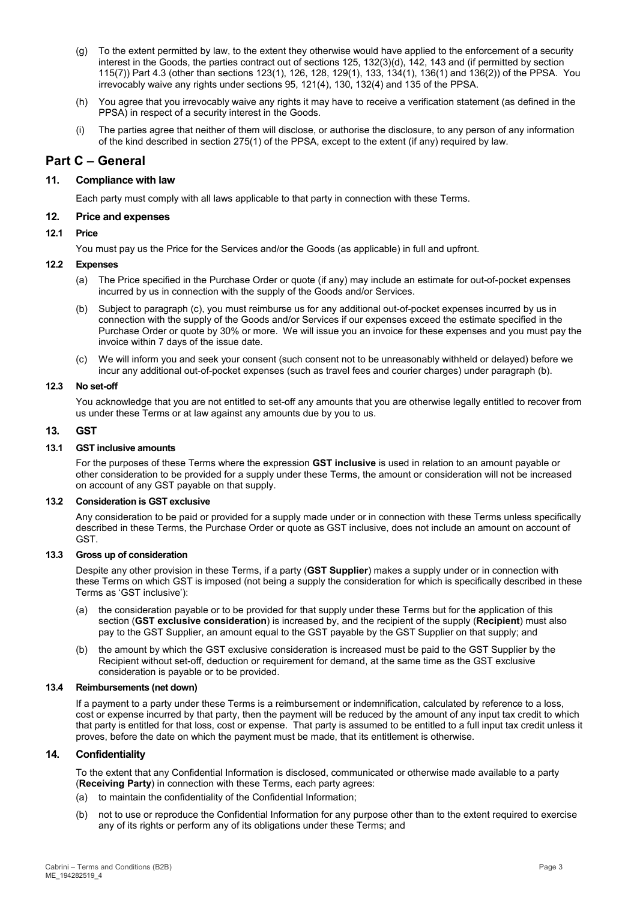- (g) To the extent permitted by law, to the extent they otherwise would have applied to the enforcement of a security interest in the Goods, the parties contract out of sections 125, 132(3)(d), 142, 143 and (if permitted by section 115(7)) Part 4.3 (other than sections 123(1), 126, 128, 129(1), 133, 134(1), 136(1) and 136(2)) of the PPSA. You irrevocably waive any rights under sections 95, 121(4), 130, 132(4) and 135 of the PPSA.
- (h) You agree that you irrevocably waive any rights it may have to receive a verification statement (as defined in the PPSA) in respect of a security interest in the Goods.
- (i) The parties agree that neither of them will disclose, or authorise the disclosure, to any person of any information of the kind described in section 275(1) of the PPSA, except to the extent (if any) required by law.

# **Part C – General**

# **11. Compliance with law**

Each party must comply with all laws applicable to that party in connection with these Terms.

# **12. Price and expenses**

# **12.1 Price**

You must pay us the Price for the Services and/or the Goods (as applicable) in full and upfront.

## **12.2 Expenses**

- (a) The Price specified in the Purchase Order or quote (if any) may include an estimate for out-of-pocket expenses incurred by us in connection with the supply of the Goods and/or Services.
- <span id="page-2-0"></span>(b) Subject to paragraph (c), you must reimburse us for any additional out-of-pocket expenses incurred by us in connection with the supply of the Goods and/or Services if our expenses exceed the estimate specified in the Purchase Order or quote by 30% or more. We will issue you an invoice for these expenses and you must pay the invoice within 7 days of the issue date.
- (c) We will inform you and seek your consent (such consent not to be unreasonably withheld or delayed) before we incur any additional out-of-pocket expenses (such as travel fees and courier charges) under paragraph [\(b\).](#page-2-0)

## <span id="page-2-2"></span>**12.3 No set-off**

You acknowledge that you are not entitled to set-off any amounts that you are otherwise legally entitled to recover from us under these Terms or at law against any amounts due by you to us.

# <span id="page-2-3"></span>**13. GST**

## **13.1 GST inclusive amounts**

For the purposes of these Terms where the expression **GST inclusive** is used in relation to an amount payable or other consideration to be provided for a supply under these Terms, the amount or consideration will not be increased on account of any GST payable on that supply.

#### **13.2 Consideration is GST exclusive**

Any consideration to be paid or provided for a supply made under or in connection with these Terms unless specifically described in these Terms, the Purchase Order or quote as GST inclusive, does not include an amount on account of GST.

#### **13.3 Gross up of consideration**

Despite any other provision in these Terms, if a party (**GST Supplier**) makes a supply under or in connection with these Terms on which GST is imposed (not being a supply the consideration for which is specifically described in these Terms as 'GST inclusive'):

- (a) the consideration payable or to be provided for that supply under these Terms but for the application of this section (**GST exclusive consideration**) is increased by, and the recipient of the supply (**Recipient**) must also pay to the GST Supplier, an amount equal to the GST payable by the GST Supplier on that supply; and
- (b) the amount by which the GST exclusive consideration is increased must be paid to the GST Supplier by the Recipient without set-off, deduction or requirement for demand, at the same time as the GST exclusive consideration is payable or to be provided.

#### **13.4 Reimbursements (net down)**

If a payment to a party under these Terms is a reimbursement or indemnification, calculated by reference to a loss, cost or expense incurred by that party, then the payment will be reduced by the amount of any input tax credit to which that party is entitled for that loss, cost or expense. That party is assumed to be entitled to a full input tax credit unless it proves, before the date on which the payment must be made, that its entitlement is otherwise.

# <span id="page-2-1"></span>**14. Confidentiality**

To the extent that any Confidential Information is disclosed, communicated or otherwise made available to a party (**Receiving Party**) in connection with these Terms, each party agrees:

- (a) to maintain the confidentiality of the Confidential Information;
- (b) not to use or reproduce the Confidential Information for any purpose other than to the extent required to exercise any of its rights or perform any of its obligations under these Terms; and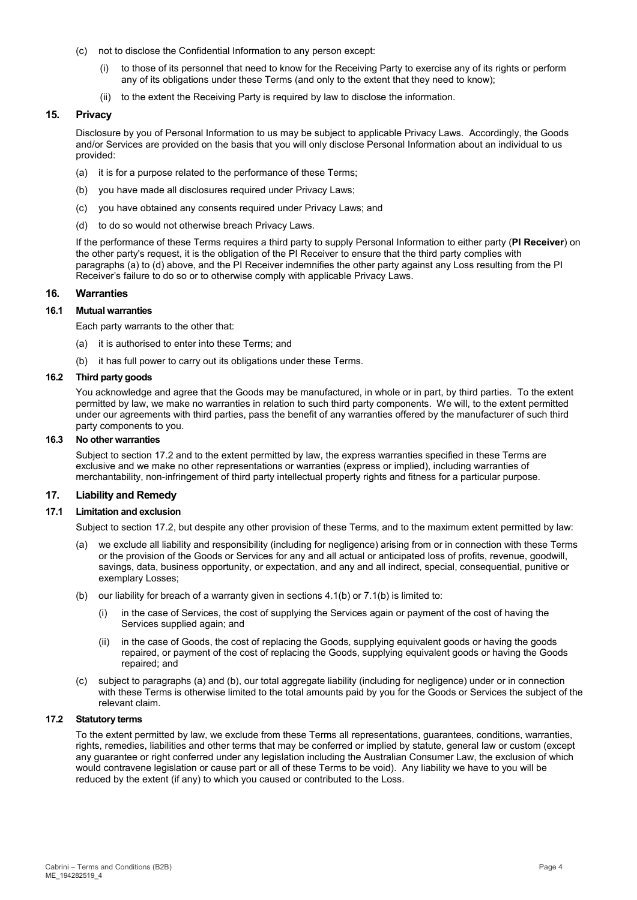- (c) not to disclose the Confidential Information to any person except:
	- to those of its personnel that need to know for the Receiving Party to exercise any of its rights or perform any of its obligations under these Terms (and only to the extent that they need to know);
	- (ii) to the extent the Receiving Party is required by law to disclose the information.

## <span id="page-3-6"></span>**15. Privacy**

Disclosure by you of Personal Information to us may be subject to applicable Privacy Laws. Accordingly, the Goods and/or Services are provided on the basis that you will only disclose Personal Information about an individual to us provided:

- <span id="page-3-1"></span>(a) it is for a purpose related to the performance of these Terms;
- (b) you have made all disclosures required under Privacy Laws;
- (c) you have obtained any consents required under Privacy Laws; and
- <span id="page-3-2"></span>(d) to do so would not otherwise breach Privacy Laws.

If the performance of these Terms requires a third party to supply Personal Information to either party (**PI Receiver**) on the other party's request, it is the obligation of the PI Receiver to ensure that the third party complies with paragraphs [\(a\)](#page-3-1) t[o \(d\)](#page-3-2) above, and the PI Receiver indemnifies the other party against any Loss resulting from the PI Receiver's failure to do so or to otherwise comply with applicable Privacy Laws.

## **16. Warranties**

#### **16.1 Mutual warranties**

Each party warrants to the other that:

- (a) it is authorised to enter into these Terms; and
- (b) it has full power to carry out its obligations under these Terms.

#### **16.2 Third party goods**

You acknowledge and agree that the Goods may be manufactured, in whole or in part, by third parties. To the extent permitted by law, we make no warranties in relation to such third party components. We will, to the extent permitted under our agreements with third parties, pass the benefit of any warranties offered by the manufacturer of such third party components to you.

#### **16.3 No other warranties**

Subject to sectio[n 17.2](#page-3-3) and to the extent permitted by law, the express warranties specified in these Terms are exclusive and we make no other representations or warranties (express or implied), including warranties of merchantability, non-infringement of third party intellectual property rights and fitness for a particular purpose.

#### <span id="page-3-0"></span>**17. Liability and Remedy**

#### **17.1 Limitation and exclusion**

Subject to section [17.2,](#page-3-3) but despite any other provision of these Terms, and to the maximum extent permitted by law:

- <span id="page-3-4"></span>(a) we exclude all liability and responsibility (including for negligence) arising from or in connection with these Terms or the provision of the Goods or Services for any and all actual or anticipated loss of profits, revenue, goodwill, savings, data, business opportunity, or expectation, and any and all indirect, special, consequential, punitive or exemplary Losses;
- <span id="page-3-5"></span>(b) our liability for breach of a warranty given in sections [4.1\(b\)](#page-0-1) or [7.1\(b\)](#page-1-0) is limited to:
	- (i) in the case of Services, the cost of supplying the Services again or payment of the cost of having the Services supplied again; and
	- (ii) in the case of Goods, the cost of replacing the Goods, supplying equivalent goods or having the goods repaired, or payment of the cost of replacing the Goods, supplying equivalent goods or having the Goods repaired; and
- (c) subject to paragraphs [\(a\)](#page-3-4) and [\(b\),](#page-3-5) our total aggregate liability (including for negligence) under or in connection with these Terms is otherwise limited to the total amounts paid by you for the Goods or Services the subject of the relevant claim.

#### <span id="page-3-3"></span>**17.2 Statutory terms**

To the extent permitted by law, we exclude from these Terms all representations, guarantees, conditions, warranties, rights, remedies, liabilities and other terms that may be conferred or implied by statute, general law or custom (except any guarantee or right conferred under any legislation including the Australian Consumer Law, the exclusion of which would contravene legislation or cause part or all of these Terms to be void). Any liability we have to you will be reduced by the extent (if any) to which you caused or contributed to the Loss.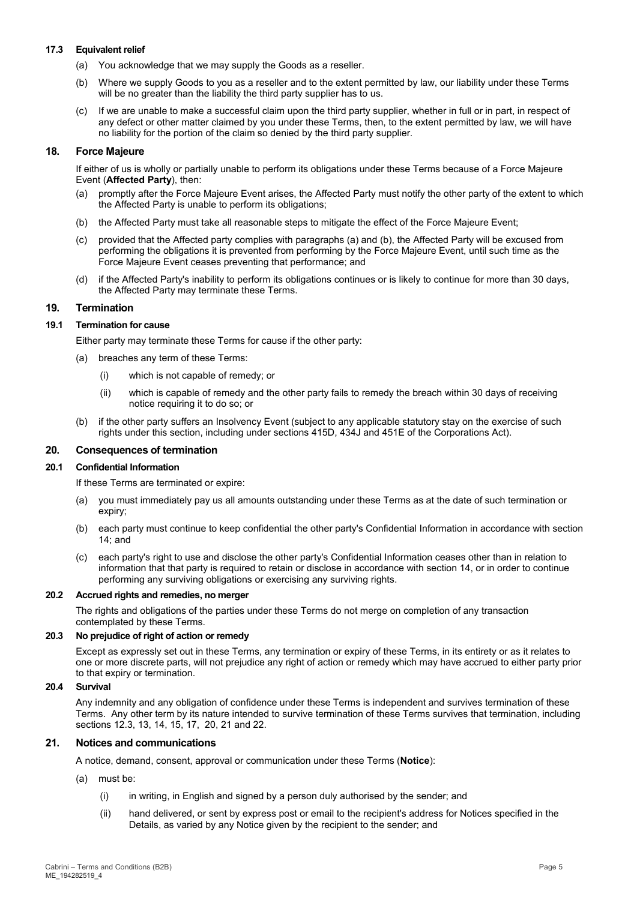#### **17.3 Equivalent relief**

- (a) You acknowledge that we may supply the Goods as a reseller.
- (b) Where we supply Goods to you as a reseller and to the extent permitted by law, our liability under these Terms will be no greater than the liability the third party supplier has to us.
- (c) If we are unable to make a successful claim upon the third party supplier, whether in full or in part, in respect of any defect or other matter claimed by you under these Terms, then, to the extent permitted by law, we will have no liability for the portion of the claim so denied by the third party supplier.

# **18. Force Majeure**

If either of us is wholly or partially unable to perform its obligations under these Terms because of a Force Majeure Event (**Affected Party**), then:

- (a) promptly after the Force Majeure Event arises, the Affected Party must notify the other party of the extent to which the Affected Party is unable to perform its obligations;
- (b) the Affected Party must take all reasonable steps to mitigate the effect of the Force Majeure Event;
- (c) provided that the Affected party complies with paragraphs (a) and (b), the Affected Party will be excused from performing the obligations it is prevented from performing by the Force Majeure Event, until such time as the Force Majeure Event ceases preventing that performance; and
- (d) if the Affected Party's inability to perform its obligations continues or is likely to continue for more than 30 days, the Affected Party may terminate these Terms.

# **19. Termination**

## **19.1 Termination for cause**

Either party may terminate these Terms for cause if the other party:

- (a) breaches any term of these Terms:
	- (i) which is not capable of remedy; or
	- (ii) which is capable of remedy and the other party fails to remedy the breach within 30 days of receiving notice requiring it to do so; or
- (b) if the other party suffers an Insolvency Event (subject to any applicable statutory stay on the exercise of such rights under this section, including under sections 415D, 434J and 451E of the Corporations Act).

# <span id="page-4-0"></span>**20. Consequences of termination**

#### **20.1 Confidential Information**

If these Terms are terminated or expire:

- (a) you must immediately pay us all amounts outstanding under these Terms as at the date of such termination or expiry;
- (b) each party must continue to keep confidential the other party's Confidential Information in accordance with section [14;](#page-2-1) and
- (c) each party's right to use and disclose the other party's Confidential Information ceases other than in relation to information that that party is required to retain or disclose in accordance with section [14,](#page-2-1) or in order to continue performing any surviving obligations or exercising any surviving rights.

#### **20.2 Accrued rights and remedies, no merger**

The rights and obligations of the parties under these Terms do not merge on completion of any transaction contemplated by these Terms.

#### **20.3 No prejudice of right of action or remedy**

Except as expressly set out in these Terms, any termination or expiry of these Terms, in its entirety or as it relates to one or more discrete parts, will not prejudice any right of action or remedy which may have accrued to either party prior to that expiry or termination.

## **20.4 Survival**

Any indemnity and any obligation of confidence under these Terms is independent and survives termination of these Terms. Any other term by its nature intended to survive termination of these Terms survives that termination, including sections [12.3,](#page-2-2) [13,](#page-2-3) [14,](#page-2-1) [15,](#page-3-6) [17,](#page-3-0) [20,](#page-4-0) [21](#page-4-1) and [22.](#page-5-1)

# <span id="page-4-1"></span>**21. Notices and communications**

A notice, demand, consent, approval or communication under these Terms (**Notice**):

- (a) must be:
	- (i) in writing, in English and signed by a person duly authorised by the sender; and
	- (ii) hand delivered, or sent by express post or email to the recipient's address for Notices specified in the Details, as varied by any Notice given by the recipient to the sender; and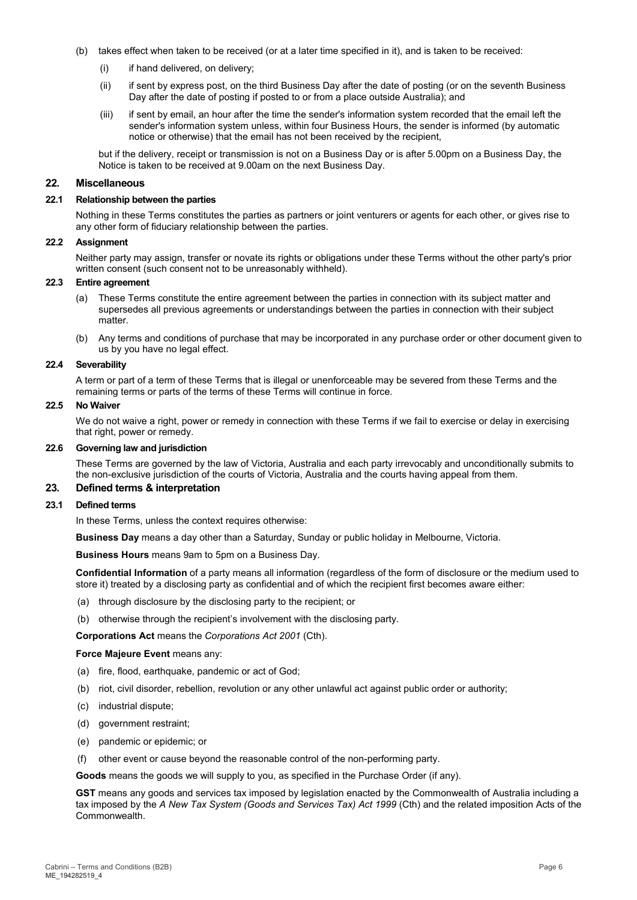- (b) takes effect when taken to be received (or at a later time specified in it), and is taken to be received:
	- (i) if hand delivered, on delivery;
	- (ii) if sent by express post, on the third Business Day after the date of posting (or on the seventh Business Day after the date of posting if posted to or from a place outside Australia); and
	- (iii) if sent by email, an hour after the time the sender's information system recorded that the email left the sender's information system unless, within four Business Hours, the sender is informed (by automatic notice or otherwise) that the email has not been received by the recipient,

but if the delivery, receipt or transmission is not on a Business Day or is after 5.00pm on a Business Day, the Notice is taken to be received at 9.00am on the next Business Day.

#### <span id="page-5-1"></span>**22. Miscellaneous**

#### **22.1 Relationship between the parties**

Nothing in these Terms constitutes the parties as partners or joint venturers or agents for each other, or gives rise to any other form of fiduciary relationship between the parties.

#### **22.2 Assignment**

Neither party may assign, transfer or novate its rights or obligations under these Terms without the other party's prior written consent (such consent not to be unreasonably withheld).

# **22.3 Entire agreement**

- (a) These Terms constitute the entire agreement between the parties in connection with its subject matter and supersedes all previous agreements or understandings between the parties in connection with their subject matter.
- (b) Any terms and conditions of purchase that may be incorporated in any purchase order or other document given to us by you have no legal effect.

#### **22.4 Severability**

A term or part of a term of these Terms that is illegal or unenforceable may be severed from these Terms and the remaining terms or parts of the terms of these Terms will continue in force.

#### **22.5 No Waiver**

We do not waive a right, power or remedy in connection with these Terms if we fail to exercise or delay in exercising that right, power or remedy.

#### **22.6 Governing law and jurisdiction**

These Terms are governed by the law of Victoria, Australia and each party irrevocably and unconditionally submits to the non-exclusive jurisdiction of the courts of Victoria, Australia and the courts having appeal from them.

# <span id="page-5-0"></span>**23. Defined terms & interpretation**

#### **23.1 Defined terms**

In these Terms, unless the context requires otherwise:

**Business Day** means a day other than a Saturday, Sunday or public holiday in Melbourne, Victoria.

**Business Hours** means 9am to 5pm on a Business Day.

**Confidential Information** of a party means all information (regardless of the form of disclosure or the medium used to store it) treated by a disclosing party as confidential and of which the recipient first becomes aware either:

- (a) through disclosure by the disclosing party to the recipient; or
- (b) otherwise through the recipient's involvement with the disclosing party.

**Corporations Act** means the *Corporations Act 2001* (Cth).

#### **Force Majeure Event** means any:

- (a) fire, flood, earthquake, pandemic or act of God;
- (b) riot, civil disorder, rebellion, revolution or any other unlawful act against public order or authority;
- (c) industrial dispute;
- (d) government restraint;
- (e) pandemic or epidemic; or
- (f) other event or cause beyond the reasonable control of the non-performing party.

**Goods** means the goods we will supply to you, as specified in the Purchase Order (if any).

**GST** means any goods and services tax imposed by legislation enacted by the Commonwealth of Australia including a tax imposed by the *A New Tax System (Goods and Services Tax) Act 1999* (Cth) and the related imposition Acts of the Commonwealth.